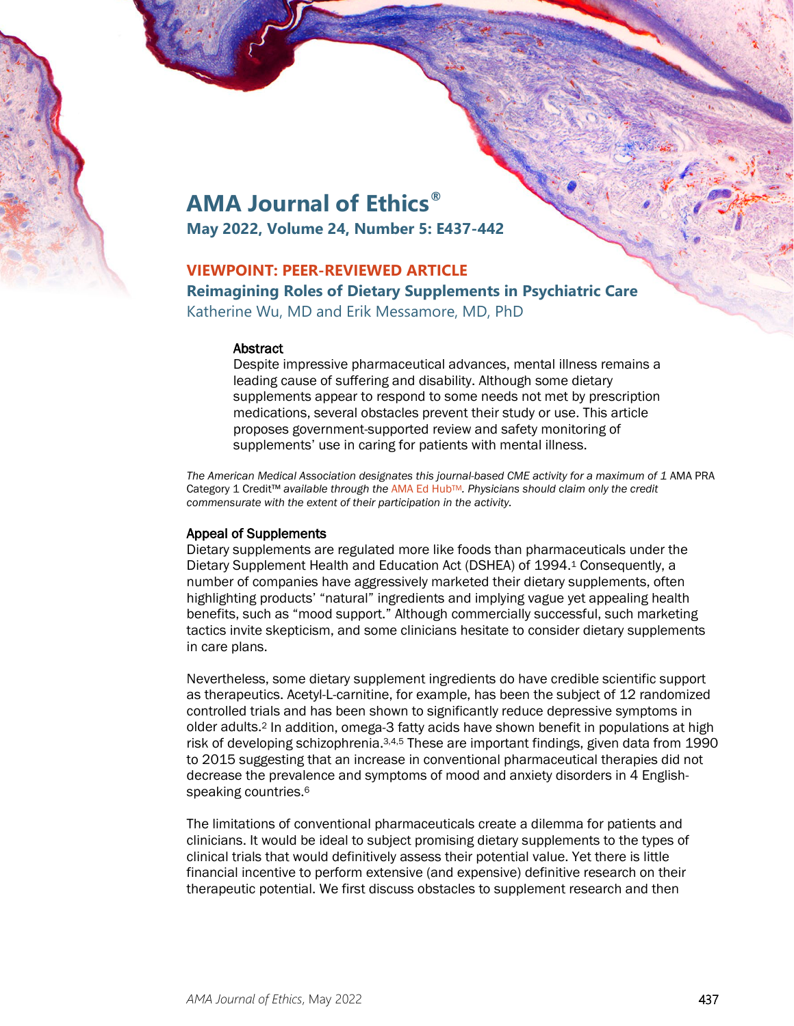

# **AMA Journal of Ethics®**

**May 2022, Volume 24, Number 5: E437-442**

# **VIEWPOINT: PEER-REVIEWED ARTICLE**

**Reimagining Roles of Dietary Supplements in Psychiatric Care** Katherine Wu, MD and Erik Messamore, MD, PhD

#### **Abstract**

Despite impressive pharmaceutical advances, mental illness remains a leading cause of suffering and disability. Although some dietary supplements appear to respond to some needs not met by prescription medications, several obstacles prevent their study or use. This article proposes government-supported review and safety monitoring of supplements' use in caring for patients with mental illness.

The American Medical Association designates this journal-based CME activity for a maximum of 1 AMA PRA Category 1 Credit™ *available through the* [AMA Ed HubTM](https://edhub.ama-assn.org/ama-journal-of-ethics/module/2791786)*. Physicians should claim only the credit commensurate with the extent of their participation in the activity.*

#### Appeal of Supplements

Dietary supplements are regulated more like foods than pharmaceuticals under the Dietary Supplement Health and Education Act (DSHEA) of 1994.1 Consequently, a number of companies have aggressively marketed their dietary supplements, often highlighting products' "natural" ingredients and implying vague yet appealing health benefits, such as "mood support." Although commercially successful, such marketing tactics invite skepticism, and some clinicians hesitate to consider dietary supplements in care plans.

Nevertheless, some dietary supplement ingredients do have credible scientific support as therapeutics. Acetyl-L-carnitine, for example, has been the subject of 12 randomized controlled trials and has been shown to significantly reduce depressive symptoms in older adults.2 In addition, omega-3 fatty acids have shown benefit in populations at high risk of developing schizophrenia.<sup>3,4,5</sup> These are important findings, given data from 1990 to 2015 suggesting that an increase in conventional pharmaceutical therapies did not decrease the prevalence and symptoms of mood and anxiety disorders in 4 Englishspeaking countries.6

The limitations of conventional pharmaceuticals create a dilemma for patients and clinicians. It would be ideal to subject promising dietary supplements to the types of clinical trials that would definitively assess their potential value. Yet there is little financial incentive to perform extensive (and expensive) definitive research on their therapeutic potential. We first discuss obstacles to supplement research and then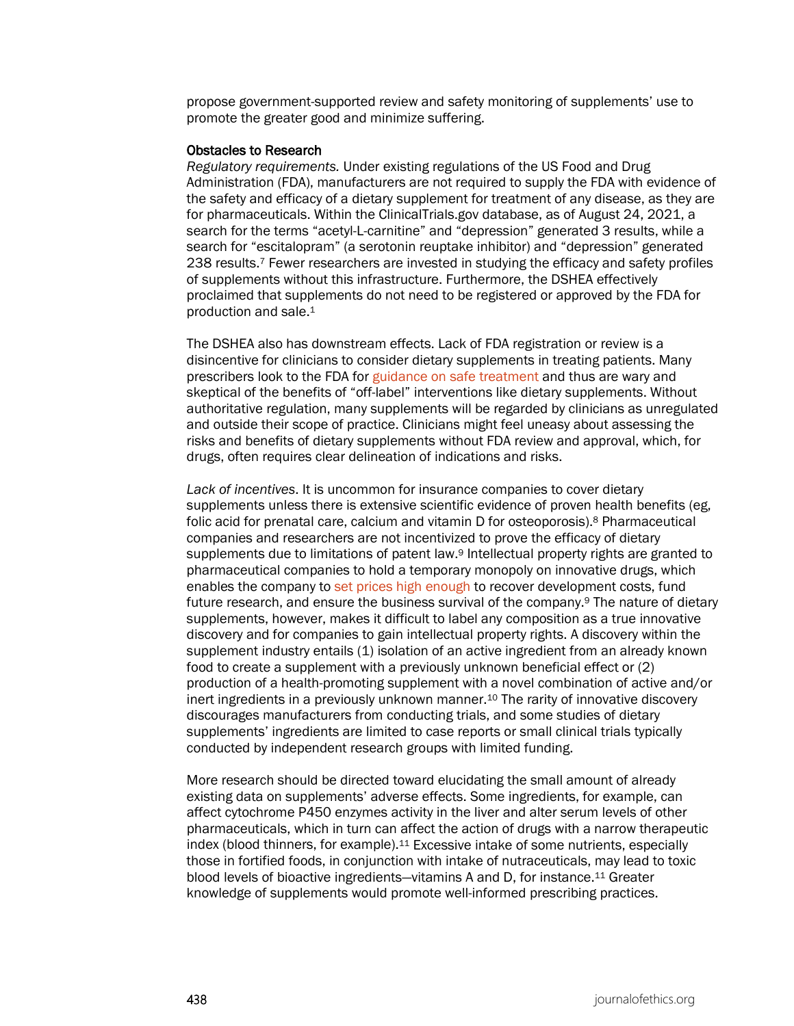propose government-supported review and safety monitoring of supplements' use to promote the greater good and minimize suffering.

#### Obstacles to Research

*Regulatory requirements.* Under existing regulations of the US Food and Drug Administration (FDA), manufacturers are not required to supply the FDA with evidence of the safety and efficacy of a dietary supplement for treatment of any disease, as they are for pharmaceuticals. Within the ClinicalTrials.gov database, as of August 24, 2021, a search for the terms "acetyl-L-carnitine" and "depression" generated 3 results, while a search for "escitalopram" (a serotonin reuptake inhibitor) and "depression" generated 238 results.7 Fewer researchers are invested in studying the efficacy and safety profiles of supplements without this infrastructure. Furthermore, the DSHEA effectively proclaimed that supplements do not need to be registered or approved by the FDA for production and sale.1

The DSHEA also has downstream effects. Lack of FDA registration or review is a disincentive for clinicians to consider dietary supplements in treating patients. Many prescribers look to the FDA for [guidance on safe treatment](https://journalofethics.ama-assn.org/article/antidepressants-and-fdas-black-box-warning-determining-rational-public-policy-absence-sufficient/2012-06) and thus are wary and skeptical of the benefits of "off-label" interventions like dietary supplements. Without authoritative regulation, many supplements will be regarded by clinicians as unregulated and outside their scope of practice. Clinicians might feel uneasy about assessing the risks and benefits of dietary supplements without FDA review and approval, which, for drugs, often requires clear delineation of indications and risks.

*Lack of incentives*. It is uncommon for insurance companies to cover dietary supplements unless there is extensive scientific evidence of proven health benefits (eg, folic acid for prenatal care, calcium and vitamin D for osteoporosis).8 Pharmaceutical companies and researchers are not incentivized to prove the efficacy of dietary supplements due to limitations of patent law.9 Intellectual property rights are granted to pharmaceutical companies to hold a temporary monopoly on innovative drugs, which enables the company to [set prices high enough](https://journalofethics.ama-assn.org/article/pricing-cancer-drugs-when-does-pricing-become-profiteering/2015-08) to recover development costs, fund future research, and ensure the business survival of the company.9 The nature of dietary supplements, however, makes it difficult to label any composition as a true innovative discovery and for companies to gain intellectual property rights. A discovery within the supplement industry entails (1) isolation of an active ingredient from an already known food to create a supplement with a previously unknown beneficial effect or (2) production of a health-promoting supplement with a novel combination of active and/or inert ingredients in a previously unknown manner.<sup>10</sup> The rarity of innovative discovery discourages manufacturers from conducting trials, and some studies of dietary supplements' ingredients are limited to case reports or small clinical trials typically conducted by independent research groups with limited funding.

More research should be directed toward elucidating the small amount of already existing data on supplements' adverse effects. Some ingredients, for example, can affect cytochrome P450 enzymes activity in the liver and alter serum levels of other pharmaceuticals, which in turn can affect the action of drugs with a narrow therapeutic index (blood thinners, for example).11 Excessive intake of some nutrients, especially those in fortified foods, in conjunction with intake of nutraceuticals, may lead to toxic blood levels of bioactive ingredients—vitamins A and D, for instance.11 Greater knowledge of supplements would promote well-informed prescribing practices.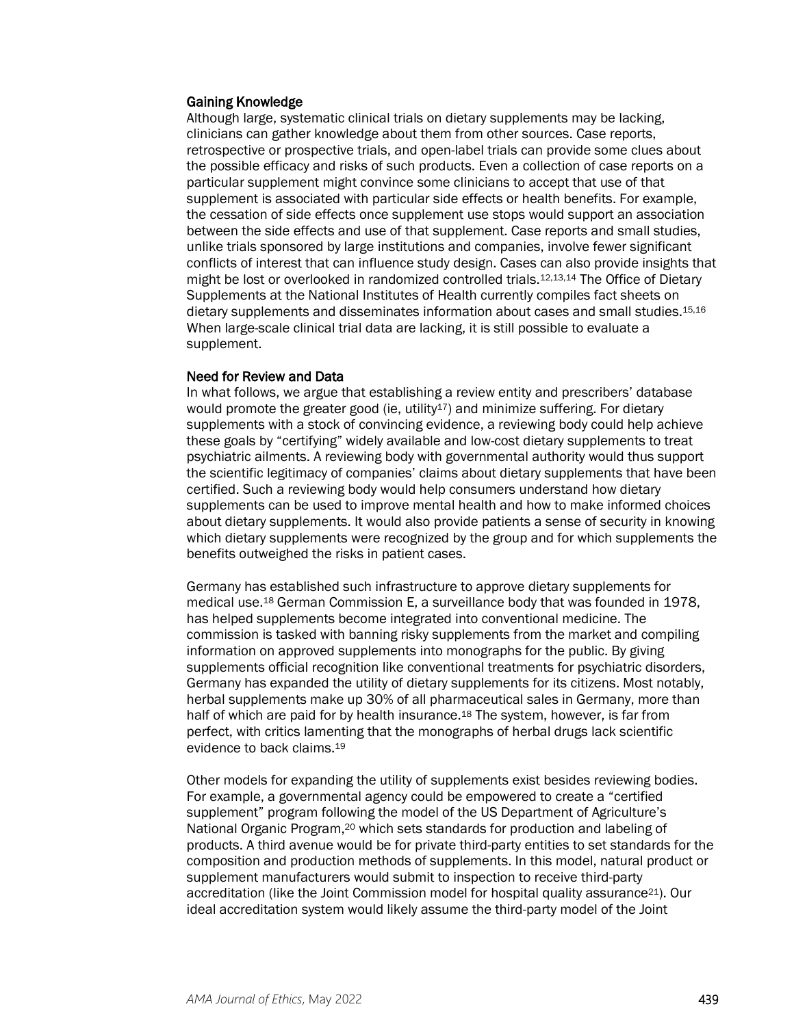#### Gaining Knowledge

Although large, systematic clinical trials on dietary supplements may be lacking, clinicians can gather knowledge about them from other sources. Case reports, retrospective or prospective trials, and open-label trials can provide some clues about the possible efficacy and risks of such products. Even a collection of case reports on a particular supplement might convince some clinicians to accept that use of that supplement is associated with particular side effects or health benefits. For example, the cessation of side effects once supplement use stops would support an association between the side effects and use of that supplement. Case reports and small studies, unlike trials sponsored by large institutions and companies, involve fewer significant conflicts of interest that can influence study design. Cases can also provide insights that might be lost or overlooked in randomized controlled trials.12,13,14 The Office of Dietary Supplements at the National Institutes of Health currently compiles fact sheets on dietary supplements and disseminates information about cases and small studies.15,16 When large-scale clinical trial data are lacking, it is still possible to evaluate a supplement.

#### Need for Review and Data

In what follows, we argue that establishing a review entity and prescribers' database would promote the greater good (ie, utility<sup>17</sup>) and minimize suffering. For dietary supplements with a stock of convincing evidence, a reviewing body could help achieve these goals by "certifying" widely available and low-cost dietary supplements to treat psychiatric ailments. A reviewing body with governmental authority would thus support the scientific legitimacy of companies' claims about dietary supplements that have been certified. Such a reviewing body would help consumers understand how dietary supplements can be used to improve mental health and how to make informed choices about dietary supplements. It would also provide patients a sense of security in knowing which dietary supplements were recognized by the group and for which supplements the benefits outweighed the risks in patient cases.

Germany has established such infrastructure to approve dietary supplements for medical use.18 German Commission E, a surveillance body that was founded in 1978, has helped supplements become integrated into conventional medicine. The commission is tasked with banning risky supplements from the market and compiling information on approved supplements into monographs for the public. By giving supplements official recognition like conventional treatments for psychiatric disorders, Germany has expanded the utility of dietary supplements for its citizens. Most notably, herbal supplements make up 30% of all pharmaceutical sales in Germany, more than half of which are paid for by health insurance.<sup>18</sup> The system, however, is far from perfect, with critics lamenting that the monographs of herbal drugs lack scientific evidence to back claims.19

Other models for expanding the utility of supplements exist besides reviewing bodies. For example, a governmental agency could be empowered to create a "certified supplement" program following the model of the US Department of Agriculture's National Organic Program,20 which sets standards for production and labeling of products. A third avenue would be for private third-party entities to set standards for the composition and production methods of supplements. In this model, natural product or supplement manufacturers would submit to inspection to receive third-party accreditation (like the Joint Commission model for hospital quality assurance21). Our ideal accreditation system would likely assume the third-party model of the Joint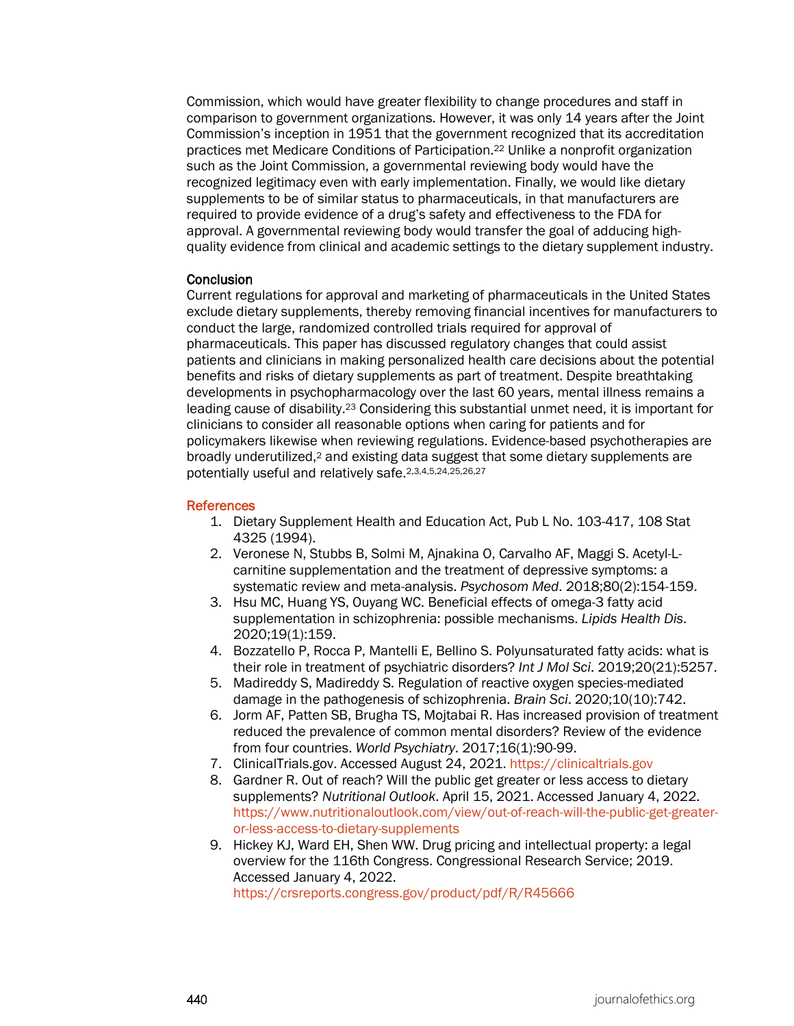Commission, which would have greater flexibility to change procedures and staff in comparison to government organizations. However, it was only 14 years after the Joint Commission's inception in 1951 that the government recognized that its accreditation practices met Medicare Conditions of Participation.22 Unlike a nonprofit organization such as the Joint Commission, a governmental reviewing body would have the recognized legitimacy even with early implementation. Finally, we would like dietary supplements to be of similar status to pharmaceuticals, in that manufacturers are required to provide evidence of a drug's safety and effectiveness to the FDA for approval. A governmental reviewing body would transfer the goal of adducing highquality evidence from clinical and academic settings to the dietary supplement industry.

#### **Conclusion**

Current regulations for approval and marketing of pharmaceuticals in the United States exclude dietary supplements, thereby removing financial incentives for manufacturers to conduct the large, randomized controlled trials required for approval of pharmaceuticals. This paper has discussed regulatory changes that could assist patients and clinicians in making personalized health care decisions about the potential benefits and risks of dietary supplements as part of treatment. Despite breathtaking developments in psychopharmacology over the last 60 years, mental illness remains a leading cause of disability.23 Considering this substantial unmet need, it is important for clinicians to consider all reasonable options when caring for patients and for policymakers likewise when reviewing regulations. Evidence-based psychotherapies are broadly underutilized,2 and existing data suggest that some dietary supplements are potentially useful and relatively safe.2,3,4,5,24,25,26,27

#### **References**

- 1. Dietary Supplement Health and Education Act, Pub L No. 103-417, 108 Stat 4325 (1994).
- 2. Veronese N, Stubbs B, Solmi M, Ajnakina O, Carvalho AF, Maggi S. Acetyl-Lcarnitine supplementation and the treatment of depressive symptoms: a systematic review and meta-analysis. *Psychosom Med*. 2018;80(2):154-159.
- 3. Hsu MC, Huang YS, Ouyang WC. Beneficial effects of omega-3 fatty acid supplementation in schizophrenia: possible mechanisms. *Lipids Health Dis*. 2020;19(1):159.
- 4. Bozzatello P, Rocca P, Mantelli E, Bellino S. Polyunsaturated fatty acids: what is their role in treatment of psychiatric disorders? *Int J Mol Sci*. 2019;20(21):5257.
- 5. Madireddy S, Madireddy S. Regulation of reactive oxygen species-mediated damage in the pathogenesis of schizophrenia. *Brain Sci*. 2020;10(10):742.
- 6. Jorm AF, Patten SB, Brugha TS, Mojtabai R. Has increased provision of treatment reduced the prevalence of common mental disorders? Review of the evidence from four countries. *World Psychiatry*. 2017;16(1):90-99.
- 7. ClinicalTrials.gov. Accessed August 24, 2021. [https://clinicaltrials.gov](https://clinicaltrials.gov/)
- 8. Gardner R. Out of reach? Will the public get greater or less access to dietary supplements? *Nutritional Outlook*. April 15, 2021. Accessed January 4, 2022. [https://www.nutritionaloutlook.com/view/out-of-reach-will-the-public-get-greater](https://www.nutritionaloutlook.com/view/out-of-reach-will-the-public-get-greater-or-less-access-to-dietary-supplements)[or-less-access-to-dietary-supplements](https://www.nutritionaloutlook.com/view/out-of-reach-will-the-public-get-greater-or-less-access-to-dietary-supplements)
- 9. Hickey KJ, Ward EH, Shen WW. Drug pricing and intellectual property: a legal overview for the 116th Congress. Congressional Research Service; 2019. Accessed January 4, 2022. <https://crsreports.congress.gov/product/pdf/R/R45666>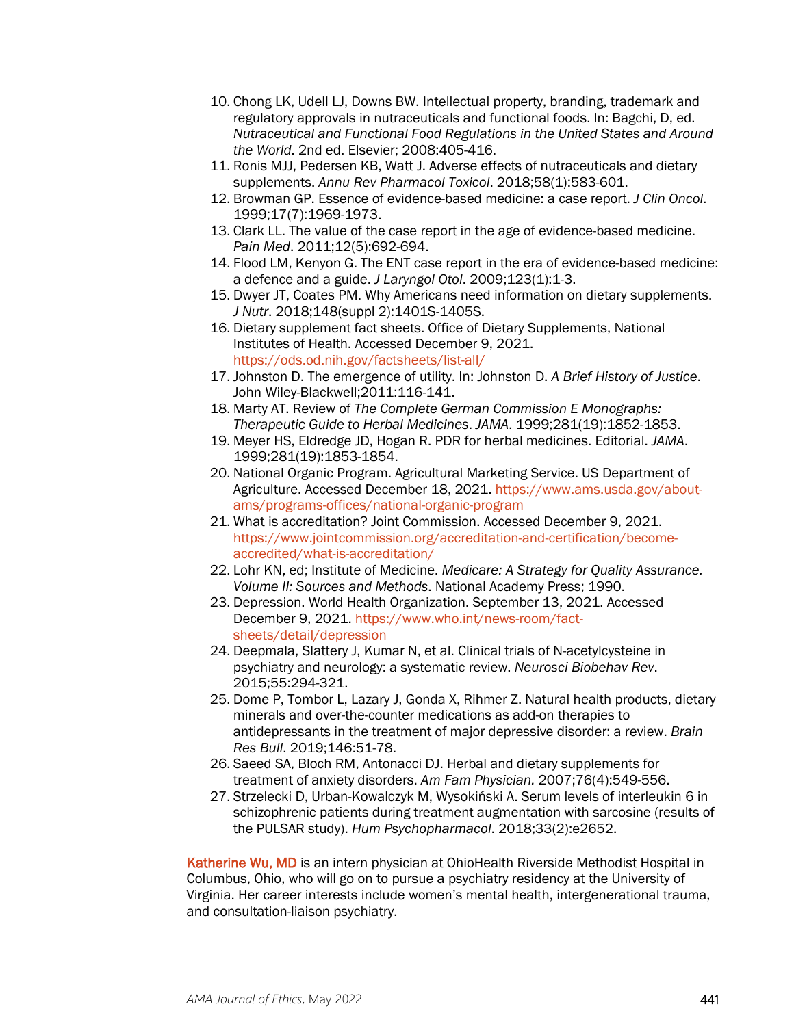- 10. Chong LK, Udell LJ, Downs BW. Intellectual property, branding, trademark and regulatory approvals in nutraceuticals and functional foods. In: Bagchi, D, ed. *Nutraceutical and Functional Food Regulations in the United States and Around the World*. 2nd ed. Elsevier; 2008:405-416.
- 11. Ronis MJJ, Pedersen KB, Watt J. Adverse effects of nutraceuticals and dietary supplements. *Annu Rev Pharmacol Toxicol*. 2018;58(1):583-601.
- 12. Browman GP. Essence of evidence-based medicine: a case report. *J Clin Oncol*. 1999;17(7):1969-1973.
- 13. Clark LL. The value of the case report in the age of evidence-based medicine. *Pain Med*. 2011;12(5):692-694.
- 14. Flood LM, Kenyon G. The ENT case report in the era of evidence-based medicine: a defence and a guide. *J Laryngol Otol*. 2009;123(1):1-3.
- 15. Dwyer JT, Coates PM. Why Americans need information on dietary supplements. *J Nutr*. 2018;148(suppl 2):1401S-1405S.
- 16. Dietary supplement fact sheets. Office of Dietary Supplements, National Institutes of Health. Accessed December 9, 2021. <https://ods.od.nih.gov/factsheets/list-all/>
- 17. Johnston D. The emergence of utility. In: Johnston D. *A Brief History of Justice*. John Wiley-Blackwell;2011:116-141.
- 18. Marty AT. Review of *The Complete German Commission E Monographs: Therapeutic Guide to Herbal Medicines*. *JAMA*. 1999;281(19):1852-1853.
- 19. Meyer HS, Eldredge JD, Hogan R. PDR for herbal medicines. Editorial. *JAMA*. 1999;281(19):1853-1854.
- 20. National Organic Program. Agricultural Marketing Service. US Department of Agriculture. Accessed December 18, 2021. [https://www.ams.usda.gov/about](https://www.ams.usda.gov/about-ams/programs-offices/national-organic-program)[ams/programs-offices/national-organic-program](https://www.ams.usda.gov/about-ams/programs-offices/national-organic-program)
- 21. What is accreditation? Joint Commission. Accessed December 9, 2021. [https://www.jointcommission.org/accreditation-and-certification/become](https://www.jointcommission.org/accreditation-and-certification/become-accredited/what-is-accreditation/)[accredited/what-is-accreditation/](https://www.jointcommission.org/accreditation-and-certification/become-accredited/what-is-accreditation/)
- 22. Lohr KN, ed; Institute of Medicine. *Medicare: A Strategy for Quality Assurance. Volume II: Sources and Methods*. National Academy Press; 1990.
- 23. Depression. World Health Organization. September 13, 2021. Accessed December 9, 2021. [https://www.who.int/news-room/fact](https://www.who.int/news-room/fact-sheets/detail/depression)[sheets/detail/depression](https://www.who.int/news-room/fact-sheets/detail/depression)
- 24. Deepmala, Slattery J, Kumar N, et al. Clinical trials of N-acetylcysteine in psychiatry and neurology: a systematic review. *Neurosci Biobehav Rev*. 2015;55:294-321.
- 25. Dome P, Tombor L, Lazary J, Gonda X, Rihmer Z. Natural health products, dietary minerals and over-the-counter medications as add-on therapies to antidepressants in the treatment of major depressive disorder: a review. *Brain Res Bull*. 2019;146:51-78.
- 26. Saeed SA, Bloch RM, Antonacci DJ. Herbal and dietary supplements for treatment of anxiety disorders. *Am Fam Physician.* 2007;76(4):549-556.
- 27. Strzelecki D, Urban-Kowalczyk M, Wysokiński A. Serum levels of interleukin 6 in schizophrenic patients during treatment augmentation with sarcosine (results of the PULSAR study). *Hum Psychopharmacol*. 2018;33(2):e2652.

Katherine Wu, MD is an intern physician at OhioHealth Riverside Methodist Hospital in Columbus, Ohio, who will go on to pursue a psychiatry residency at the University of Virginia. Her career interests include women's mental health, intergenerational trauma, and consultation-liaison psychiatry.